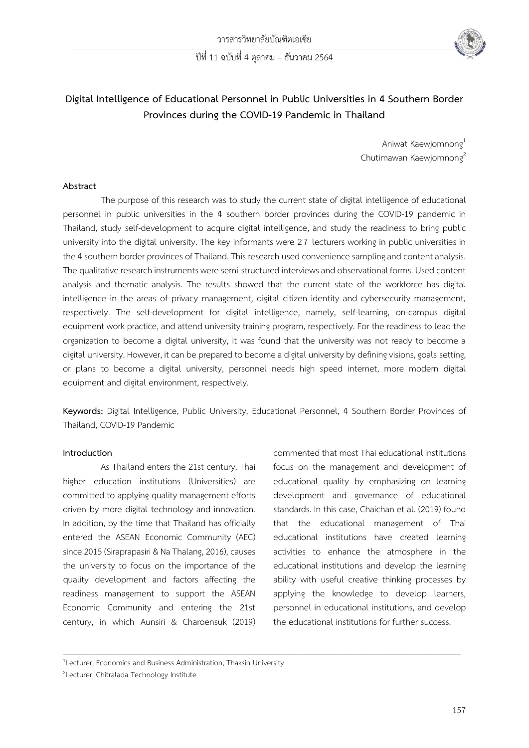ปีที่ 11 ฉบับที่ 4 ตุลาคม – ธันวาคม 2564



# **Digital Intelligence of Educational Personnel in Public Universities in 4 Southern Border Provinces during the COVID-19 Pandemic in Thailand**

Aniwat Kaewjomnong<sup>1</sup> Chutimawan Kaewjomnong<sup>2</sup>

### **Abstract**

The purpose of this research was to study the current state of digital intelligence of educational personnel in public universities in the 4 southern border provinces during the COVID-19 pandemic in Thailand, study self-development to acquire digital intelligence, and study the readiness to bring public university into the digital university. The key informants were 27 lecturers working in public universities in the 4 southern border provinces of Thailand. This research used convenience sampling and content analysis. The qualitative research instruments were semi-structured interviews and observational forms. Used content analysis and thematic analysis. The results showed that the current state of the workforce has digital intelligence in the areas of privacy management, digital citizen identity and cybersecurity management, respectively. The self-development for digital intelligence, namely, self-learning, on-campus digital equipment work practice, and attend university training program, respectively. For the readiness to lead the organization to become a digital university, it was found that the university was not ready to become a digital university. However, it can be prepared to become a digital university by defining visions, goals setting, or plans to become a digital university, personnel needs high speed internet, more modern digital equipment and digital environment, respectively.

**Keywords:** Digital Intelligence, Public University, Educational Personnel, 4 Southern Border Provinces of Thailand, COVID-19 Pandemic

 $\mathcal{L} = \{ \mathcal{L} = \{ \mathcal{L} \mid \mathcal{L} = \{ \mathcal{L} \mid \mathcal{L} = \{ \mathcal{L} \mid \mathcal{L} = \{ \mathcal{L} \mid \mathcal{L} = \{ \mathcal{L} \mid \mathcal{L} = \{ \mathcal{L} \mid \mathcal{L} = \{ \mathcal{L} \mid \mathcal{L} = \{ \mathcal{L} \mid \mathcal{L} = \{ \mathcal{L} \mid \mathcal{L} = \{ \mathcal{L} \mid \mathcal{L} = \{ \mathcal{L} \mid \mathcal{L} = \{ \mathcal{L} \mid \mathcal{L} =$ 

### **Introduction**

As Thailand enters the 21st century, Thai higher education institutions (Universities) are committed to applying quality management efforts driven by more digital technology and innovation. In addition, by the time that Thailand has officially entered the ASEAN Economic Community (AEC) since 2015 (Siraprapasiri & Na Thalang, 2016), causes the university to focus on the importance of the quality development and factors affecting the readiness management to support the ASEAN Economic Community and entering the 21st century, in which Aunsiri & Charoensuk (2019) commented that most Thai educational institutions focus on the management and development of educational quality by emphasizing on learning development and governance of educational standards. In this case, Chaichan et al. (2019) found that the educational management of Thai educational institutions have created learning activities to enhance the atmosphere in the educational institutions and develop the learning ability with useful creative thinking processes by applying the knowledge to develop learners, personnel in educational institutions, and develop the educational institutions for further success.

<sup>&</sup>lt;sup>1</sup>Lecturer, Economics and Business Administration, Thaksin University

<sup>&</sup>lt;sup>2</sup>Lecturer, Chitralada Technology Institute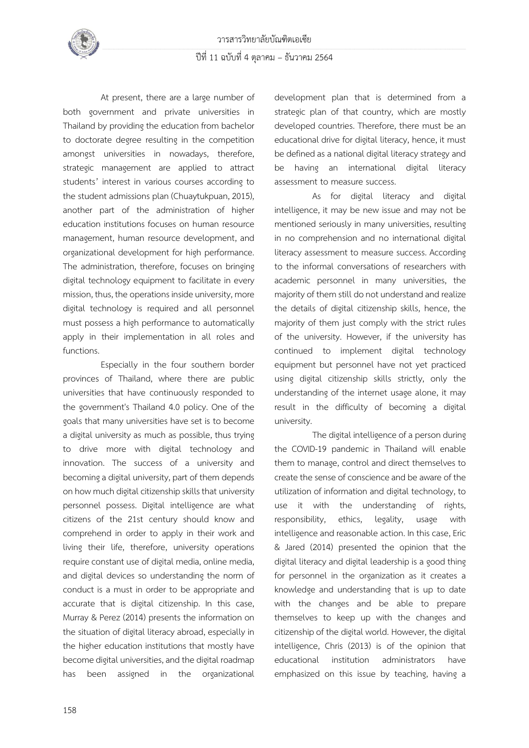

At present, there are a large number of both government and private universities in Thailand by providing the education from bachelor to doctorate degree resulting in the competition amongst universities in nowadays, therefore, strategic management are applied to attract students' interest in various courses according to the student admissions plan(Chuaytukpuan,2015), another part of the administration of higher education institutions focuses on human resource management, human resource development, and organizational development for high performance. The administration, therefore, focuses on bringing digital technology equipment to facilitate in every mission, thus, the operations inside university, more digital technology is required and all personnel must possess a high performance to automatically apply in their implementation in all roles and functions.

Especially in the four southern border provinces of Thailand, where there are public universities that have continuously responded to the government's Thailand 4.0 policy. One of the goals that many universities have set is to become a digital university as much as possible, thus trying to drive more with digital technology and innovation. The success of a university and becoming a digital university, part of them depends on how much digital citizenship skills that university personnel possess. Digital intelligence are what citizens of the 21st century should know and comprehend in order to apply in their work and living their life, therefore, university operations require constant use of digital media, online media, and digital devices so understanding the norm of conduct is a must in order to be appropriate and accurate that is digital citizenship. In this case, Murray & Perez (2014) presents the information on the situation of digital literacy abroad, especially in the higher education institutions that mostly have become digital universities, and the digital roadmap has been assigned in the organizational development plan that is determined from a strategic plan of that country, which are mostly developed countries. Therefore, there must be an educational drive for digital literacy, hence, it must be defined as anational digital literacy strategy and be having an international digital literacy assessment to measure success.

As for digital literacy and digital intelligence, it may be new issue and may not be mentioned seriously in many universities, resulting in no comprehension and no international digital literacy assessment to measure success. According to the informal conversations of researchers with academic personnel in many universities, the majority of them still do not understand and realize the details of digital citizenship skills, hence, the majority of them just comply with the strict rules of the university. However, if the university has continued to implement digital technology equipment but personnel have not yet practiced using digital citizenship skills strictly, only the understanding of the internet usage alone, it may result in the difficulty of becoming a digital university.

The digital intelligence of a person during the COVID-19 pandemic in Thailand will enable them to manage, control and direct themselves to create the sense of conscience and be aware of the utilization of information and digital technology, to use it with the understanding of rights, responsibility, ethics, legality, usage with intelligence and reasonable action. In this case, Eric & Jared (2014) presented the opinion that the digital literacy and digital leadership is a good thing for personnel in the organization as it creates a knowledge and understanding that is up to date with the changes and be able to prepare themselves to keep up with the changes and citizenship of the digital world. However, the digital intelligence, Chris (2013) is of the opinion that educational institution administrators have emphasized on this issue by teaching, having a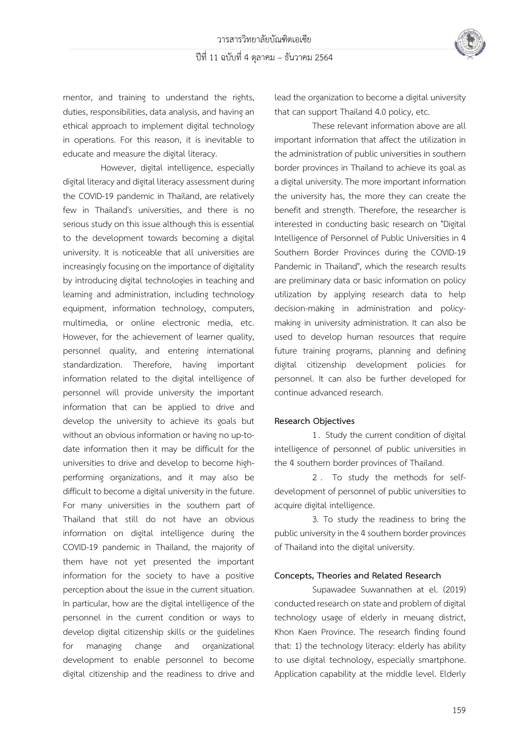

mentor, and training to understand the rights, duties, responsibilities, data analysis, and having an ethical approach to implement digital technology in operations. For this reason, it is inevitable to educate and measure the digital literacy.

However, digital intelligence, especially digital literacy and digital literacy assessment during the COVID-19 pandemic in Thailand, are relatively few in Thailand's universities, and there is no serious study on this issue although this is essential to the development towards becoming a digital university. It is noticeable that all universities are increasingly focusing on the importance of digitality by introducing digital technologies in teaching and learning and administration, including technology equipment, information technology, computers, multimedia, or online electronic media, etc. However, for the achievement of learner quality, personnel quality, and entering international standardization. Therefore, having important information related to the digital intelligence of personnel will provide university the important information that can be applied to drive and develop the university to achieve its goals but without an obvious information or having no up-todate information then it may be difficult for the universities to drive and develop to become highperforming organizations, and it may also be difficult to become a digital university in the future. For many universities in the southern part of Thailand that still do not have an obvious information on digital intelligence during the COVID-19 pandemic in Thailand, the majority of them have not yet presented the important information for the society to have a positive perception about the issue in the current situation. In particular, how are the digital intelligence of the personnel in the current condition or ways to develop digital citizenship skills or the guidelines for managing change and organizational development to enable personnel to become digital citizenship and the readiness to drive and lead the organization to become a digital university that can support Thailand 4.0 policy, etc.

These relevant information above are all important information that affect the utilization in the administration of public universities in southern border provinces in Thailand to achieve its goal as a digital university. The more important information the university has, the more they can create the benefit and strength. Therefore, the researcher is interested in conducting basic research on "Digital Intelligence of Personnel of Public Universities in 4 Southern Border Provinces during the COVID-19 Pandemic in Thailand", which the research results are preliminary data or basic information on policy utilization by applying research data to help decision-making in administration and policymaking in university administration. It can also be used to develop human resources that require future training programs, planning and defining digital citizenship development policies for personnel. It can also be further developed for continue advanced research.

#### **Research Objectives**

1 . Study the current condition of digital intelligence of personnel of public universities in the 4 southern border provinces of Thailand.

2 . To study the methods for selfdevelopment of personnel of public universities to acquire digital intelligence.

3. To study the readiness to bring the public university in the 4 southern border provinces of Thailand into the digital university.

### **Concepts, Theories and Related Research**

Supawadee Suwannathen at el. (2019) conducted research on state and problem of digital technology usage of elderly in meuang district, Khon Kaen Province. The research finding found that: 1) the technology literacy: elderly has ability to use digital technology, especially smartphone. Application capability at the middle level. Elderly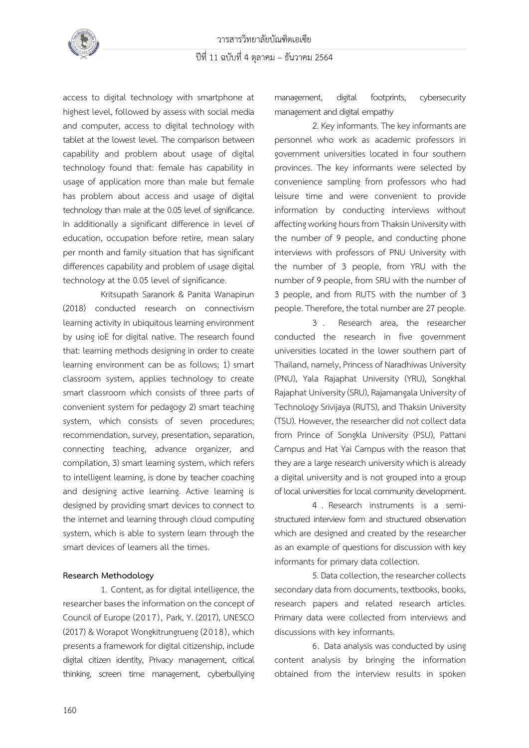access to digital technology with smartphone at highest level, followed by assess with social media and computer, access to digital technology with tablet at the lowest level. The comparison between capability and problem about usage of digital technology found that: female has capability in usage of application more than male but female has problem about access and usage of digital technology than male at the 0.05 level of significance. In additionally a significant difference in level of education, occupation before retire, mean salary per month and family situation that has significant differences capability and problem of usage digital technology at the 0.05 level of significance.

Kritsupath Saranork & Panita Wanapirun (2018) conducted research on connectivism learning activity in ubiquitous learning environment by using ioE for digital native. The research found that: learning methods designing in order to create learning environment can be as follows; 1) smart classroom system, applies technology to create smart classroom which consists of three parts of convenient system for pedagogy 2) smart teaching system, which consists of seven procedures; recommendation, survey, presentation, separation, connecting teaching, advance organizer, and compilation, 3) smart learning system, which refers to intelligent learning, is done by teacher coaching and designing active learning. Active learning is designed by providing smart devices to connect to the internet and learning through cloud computing system, which is able to system learn through the smart devices of learners all the times.

### **Research Methodology**

1. Content, as for digital intelligence, the researcher bases the information on the concept of Council of Europe (2017), Park, Y. (2017), UNESCO (2017) & Worapot Wongkitrungrueng (2018), which presents a framework for digital citizenship, include digital citizen identity, Privacy management, critical thinking, screen time management, cyberbullying

management, digital footprints, cybersecurity management and digital empathy

2. Key informants. The key informants are personnel who work as academic professors in government universities located in four southern provinces. The key informants were selected by convenience sampling from professors who had leisure time and were convenient to provide information by conducting interviews without affecting working hours from Thaksin University with the number of 9 people, and conducting phone interviews with professors of PNU University with the number of 3 people, from YRU with the number of 9 people, from SRU with the number of 3 people, and from RUTS with the number of 3 people. Therefore, the total number are 27 people.

3 . Research area, the researcher conducted the research in five government universities located in the lower southern part of Thailand, namely, Princess of Naradhiwas University (PNU), Yala Rajaphat University (YRU), Songkhal Rajaphat University (SRU), Rajamangala University of Technology Srivijaya (RUTS), and Thaksin University (TSU). However, the researcher did not collect data from Prince of Songkla University (PSU), Pattani Campus and Hat Yai Campus with the reason that they are a large research university which is already a digital university and is not grouped into a group of local universities for local community development.

4 . Research instruments is a semistructured interview form and structured observation which are designed and created by the researcher as an example of questions for discussion with key informants for primary data collection.

5. Data collection, the researcher collects secondary data from documents, textbooks, books, research papers and related research articles. Primary data were collected from interviews and discussions with key informants.

6. Data analysis was conducted by using content analysis by bringing the information obtained from the interview results in spoken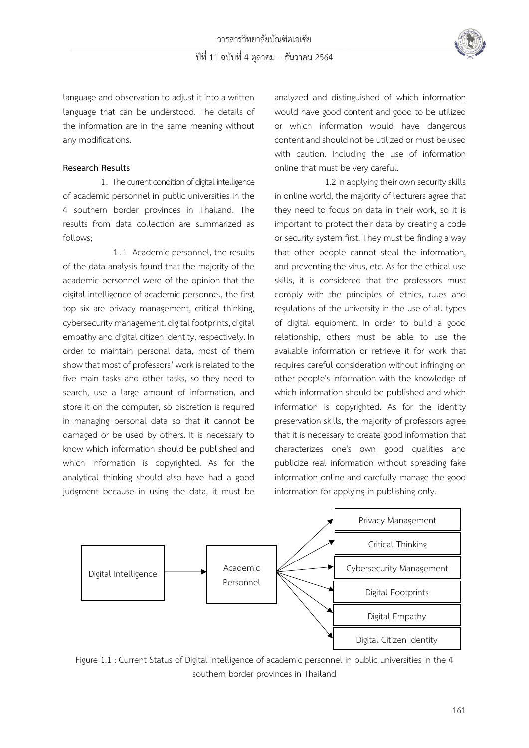

language and observation to adjust it into a written language that can be understood. The details of the information are in the same meaning without any modifications.

### **Research Results**

1. The current condition of digital intelligence of academic personnel in public universities in the 4 southern border provinces in Thailand. The results from data collection are summarized as follows;

1. 1 Academic personnel, the results of the data analysis found that the majority of the academic personnel were of the opinion that the digital intelligence of academic personnel, the first top six are privacy management, critical thinking, cybersecuritymanagement, digital footprints, digital empathy and digital citizen identity, respectively. In order to maintain personal data, most of them show that most of professors' work is related to the five main tasks and other tasks, so they need to search, use a large amount of information, and store it on the computer, so discretion is required in managing personal data so that it cannot be damaged or be used by others. It is necessary to know which information should be published and which information is copyrighted. As for the analytical thinking should also have had a good judgment because in using the data, it must be analyzed and distinguished of which information would have good content and good to be utilized or which information would have dangerous content and should not be utilized or must be used with caution. Including the use of information online that must be very careful.

1.2 In applying their own security skills in online world, the majority of lecturers agree that they need to focus on data in their work, so it is important to protect their data by creating a code or security system first. They must be finding a way that other people cannot steal the information, and preventing the virus, etc. As for the ethical use skills, it is considered that the professors must comply with the principles of ethics, rules and regulations of the university in the use of all types of digital equipment. In order to build a good relationship, others must be able to use the available information or retrieve it for work that requires careful consideration without infringing on other people's information with the knowledge of which information should be published and which information is copyrighted. As for the identity preservation skills, the majority of professors agree that it is necessary to create good information that characterizes one's own good qualities and publicize real information without spreading fake information online and carefully manage the good information for applying in publishing only.



Figure 1.1 : Current Status of Digital intelligence of academic personnel in public universities in the 4 southern border provinces in Thailand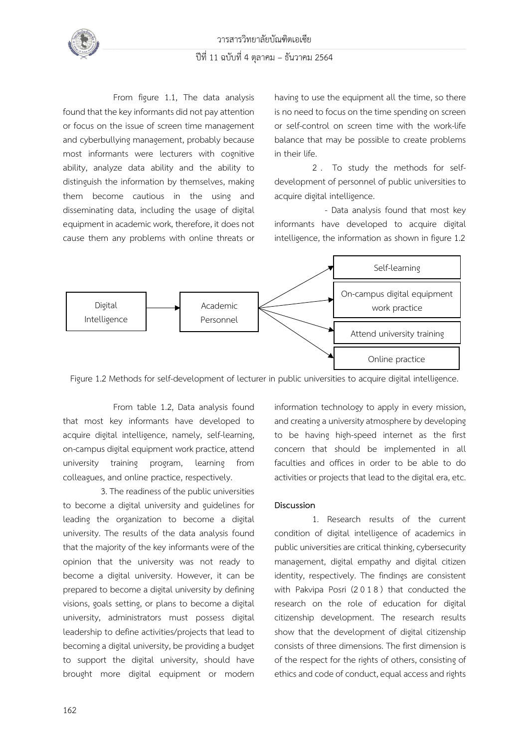

## ปีที่ 11 ฉบับที่ 4 ตุลาคม – ธันวาคม 2564

From figure 1.1, The data analysis found that the key informants did not pay attention or focus on the issue of screen time management and cyberbullying management, probably because most informants were lecturers with cognitive ability, analyze data ability and the ability to distinguish the information by themselves, making them become cautious in the using and disseminating data, including the usage of digital equipment in academic work, therefore, it does not cause them any problems with online threats or having to use the equipment all the time, so there is no need to focus on the time spending on screen or self-control on screen time with the work-life balance that may be possible to create problems in their life.

2 . To study the methods for selfdevelopment of personnel of public universities to acquire digital intelligence.

- Data analysis found that most key informants have developed to acquire digital intelligence, the information as shown in figure 1.2



Figure 1.2 Methods for self-development of lecturer in public universities to acquire digital intelligence.

From table 1.2, Data analysis found that most key informants have developed to acquire digital intelligence, namely, self-learning, on-campus digital equipment work practice, attend university training program, learning from colleagues, and online practice, respectively.

3. The readiness of the public universities to become a digital university and guidelines for leading the organization to become a digital university. The results of the data analysis found that the majority of the key informants were of the opinion that the university was not ready to become a digital university. However, it can be prepared to become a digital university by defining visions, goals setting, or plans to become a digital university, administrators must possess digital leadership to define activities/projects that lead to becoming a digital university, be providing a budget to support the digital university, should have brought more digital equipment or modern information technology to apply in every mission, and creating a university atmosphere by developing to be having high-speed internet as the first concern that should be implemented in all faculties and offices in order to be able to do activities or projects that lead to the digital era, etc.

### **Discussion**

1. Research results of the current condition of digital intelligence of academics in public universities are critical thinking, cybersecurity management, digital empathy and digital citizen identity, respectively. The findings are consistent with Pakvipa Posri (2018) that conducted the research on the role of education for digital citizenship development. The research results show that the development of digital citizenship consists of three dimensions. The first dimension is of the respect for the rights of others, consisting of ethics and code of conduct, equal access and rights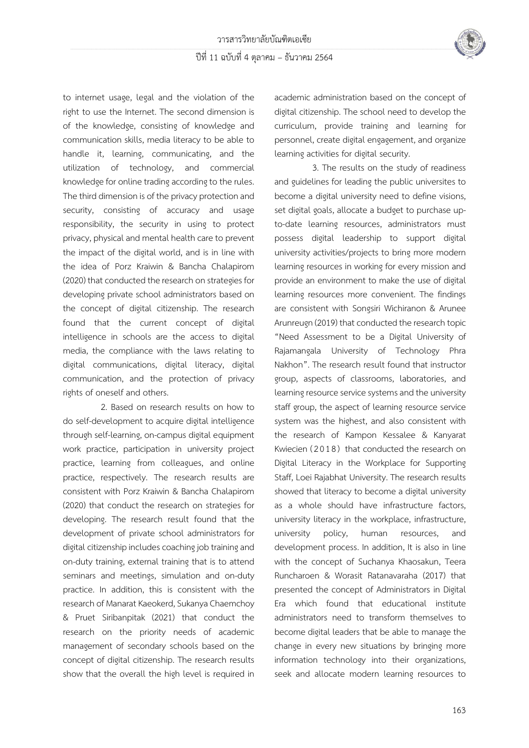

to internet usage, legal and the violation of the right to use the Internet. The second dimension is of the knowledge, consisting of knowledge and communication skills, media literacy to be able to handle it, learning, communicating, and the utilization of technology, and commercial knowledge for online trading according to the rules. The third dimension is of the privacy protection and security, consisting of accuracy and usage responsibility, the security in using to protect privacy, physical and mental health care to prevent the impact of the digital world, and is in line with the idea of Porz Kraiwin & Bancha Chalapirom (2020) that conducted the research on strategies for developing private school administrators based on the concept of digital citizenship. The research found that the current concept of digital intelligence in schools are the access to digital media, the compliance with the laws relating to digital communications, digital literacy, digital communication, and the protection of privacy rights of oneself and others.

2. Based on research results on how to do self-development to acquire digital intelligence through self-learning, on-campus digital equipment work practice, participation in university project practice, learning from colleagues, and online practice, respectively. The research results are consistent with Porz Kraiwin & Bancha Chalapirom (2020) that conduct the research on strategies for developing. The research result found that the development of private school administrators for digital citizenship includes coaching job training and on-duty training, external training that is to attend seminars and meetings, simulation and on-duty practice. In addition, this is consistent with the research of Manarat Kaeokerd, Sukanya Chaemchoy & Pruet Siribanpitak (2021) that conduct the research on the priority needs of academic management of secondary schools based on the concept of digital citizenship. The research results show that the overall the high level is required in academic administration based on the concept of digital citizenship. The school need to develop the curriculum, provide training and learning for personnel, create digital engagement, and organize learning activities for digital security.

3. The results on the study of readiness and guidelines for leading the public universites to become a digital university need to define visions, set digital goals, allocate a budget to purchase upto-date learning resources, administrators must possess digital leadership to support digital university activities/projects to bring more modern learning resources in working for every mission and provide an environment to make the use of digital learning resources more convenient. The findings are consistent with Songsiri Wichiranon & Arunee Arunreugn (2019) that conducted the research topic "Need Assessment to be a Digital University of Rajamangala University of Technology Phra Nakhon". The research result found that instructor group, aspects of classrooms, laboratories, and learning resource service systems and the university staff group, the aspect of learning resource service system was the highest, and also consistent with the research of Kampon Kessalee & Kanyarat Kwiecien (2018) that conducted the research on Digital Literacy in the Workplace for Supporting Staff, Loei Rajabhat University. The research results showed that literacy to become a digital university as a whole should have infrastructure factors, university literacy in the workplace, infrastructure, university policy, human resources, and development process. In addition, It is also in line with the concept of Suchanya Khaosakun, Teera Runcharoen & Worasit Ratanavaraha (2017) that presented the concept of Administrators in Digital Era which found that educational institute administrators need to transform themselves to become digital leaders that be able to manage the change in every new situations by bringing more information technology into their organizations, seek and allocate modern learning resources to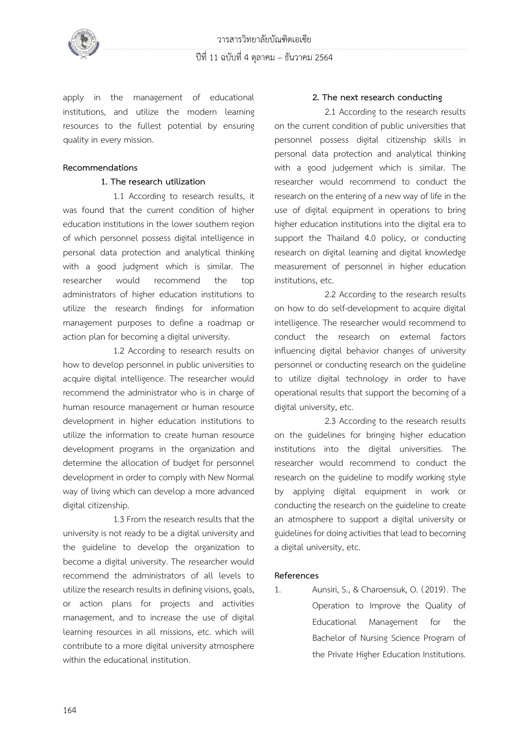

apply in the management of educational institutions, and utilize the modern learning resources to the fullest potential by ensuring quality in every mission.

### **Recommendations**

### **1. The research utilization**

1.1 According to research results, it was found that the current condition of higher education institutions in the lower southern region of which personnel possess digital intelligence in personal data protection and analytical thinking with a good judgment which is similar. The researcher would recommend the top administrators of higher education institutions to utilize the research findings for information management purposes to define a roadmap or action plan for becoming a digital university.

1.2 According to research results on how to develop personnel in public universities to acquire digital intelligence. The researcher would recommend the administrator who is in charge of human resource management or human resource development in higher education institutions to utilize the information to create human resource development programs in the organization and determine the allocation of budget for personnel development in order to comply with New Normal way of living which can develop a more advanced digital citizenship.

1.3 From the research results that the university is not ready to be a digital university and the guideline to develop the organization to become a digital university. The researcher would recommend the administrators of all levels to utilize the research results in defining visions, goals, or action plans for projects and activities management, and to increase the use of digital learning resources in all missions, etc. which will contribute to a more digital university atmosphere within the educational institution.

### **2. The next research conducting**

2.1 According to the research results on the current condition of public universities that personnel possess digital citizenship skills in personal data protection and analytical thinking with a good judgement which is similar. The researcher would recommend to conduct the research on the entering of a new way of life in the use of digital equipment in operations to bring higher education institutions into the digital era to support the Thailand 4.0 policy, or conducting research on digital learning and digital knowledge measurement of personnel in higher education institutions, etc.

2.2 According to the research results on how to do self-development to acquire digital intelligence. The researcher would recommend to conduct the research on external factors influencing digital behavior changes of university personnel or conducting research on the guideline to utilize digital technology in order to have operational results that support the becoming of a digital university, etc.

2.3 According to the research results on the guidelines for bringing higher education institutions into the digital universities. The researcher would recommend to conduct the research on the guideline to modify working style by applying digital equipment in work or conducting the research on the guideline to create an atmosphere to support a digital university or guidelines for doingactivities that lead to becoming a digital university, etc.

### **References**

1. Aunsiri, S., & Charoensuk, O. (2019) . The Operation to Improve the Quality of Educational Management for the Bachelor of Nursing Science Program of the Private Higher Education Institutions.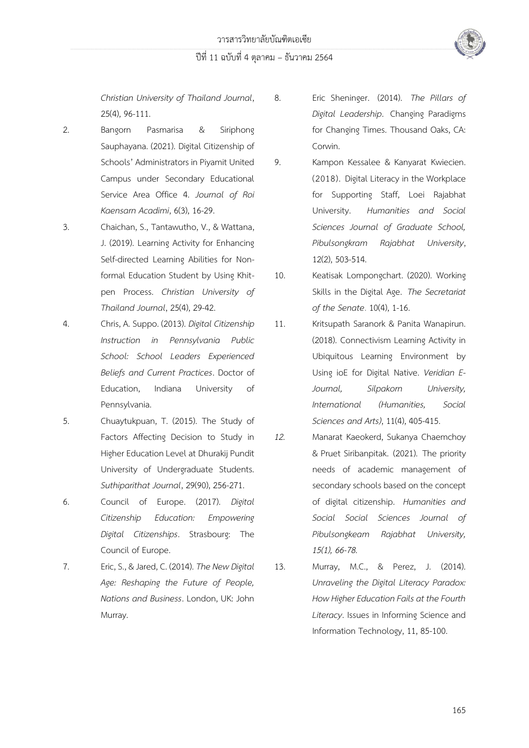*Christian University of Thailand Journal*, 25(4), 96-111.

- 2. Bangorn Pasmarisa & Siriphong Sauphayana. (2021). Digital Citizenship of Schools' Administrators in Piyamit United Campus under Secondary Educational Service Area Office 4. *Journal of Roi Kaensarn Acadimi*, 6(3), 16-29.
- 3. Chaichan, S., Tantawutho, V., & Wattana, J. (2019). Learning Activity for Enhancing Self-directed Learning Abilities for Nonformal Education Student by Using Khitpen Process. *Christian University of Thailand Journal*, 25(4), 29-42.
- 4. Chris, A. Suppo. (2013). *Digital Citizenship Instruction in Pennsylvania Public School: School Leaders Experienced Beliefs and Current Practices*. Doctor of Education, Indiana University of Pennsylvania.
- 5. Chuaytukpuan, T. (2015). The Study of Factors Affecting Decision to Study in Higher Education Level at Dhurakij Pundit University of Undergraduate Students. *Suthiparithat Journal*, 29(90), 256-271.
- 6. Council of Europe. (2017). *Digital Citizenship Education: Empowering Digital Citizenships*. Strasbourg: The Council of Europe.
- 7. Eric, S., & Jared, C. (2014).*The New Digital Age: Reshaping the Future of People, Nations and Business*. London, UK: John Murray.
- 8. Eric Sheninger. (2014). *The Pillars of Digital Leadership*. Changing Paradigms for Changing Times. Thousand Oaks, CA: Corwin.
- 9. Kampon Kessalee & Kanyarat Kwiecien. (2018). Digital Literacy in the Workplace for Supporting Staff, Loei Rajabhat University. *Humanities and Social Sciences Journal of Graduate School, Pibulsongkram Rajabhat University*, 12(2), 503-514.
- 10. Keatisak Lompongchart. (2020). Working Skills in the Digital Age. *The Secretariat of the Senate*. 10(4), 1-16.
- 11. Kritsupath Saranork & Panita Wanapirun. (2018). Connectivism Learning Activity in Ubiquitous Learning Environment by Using ioE for Digital Native. *Veridian E-Journal, Silpakorn University, International (Humanities, Social Sciences and Arts)*, 11(4), 405-415.
- *12.* Manarat Kaeokerd, Sukanya Chaemchoy & Pruet Siribanpitak. (2021). The priority needs of academic management of secondary schools based on the concept of digital citizenship. *Humanities and Social Social Sciences Journal of Pibulsongkeam Rajabhat University, 15(1), 66-78.*
- 13. Murray, M.C., & Perez, J. (2014). *Unraveling the Digital Literacy Paradox: How Higher Education Fails at the Fourth Literacy*. Issues in Informing Science and Information Technology, 11, 85-100.